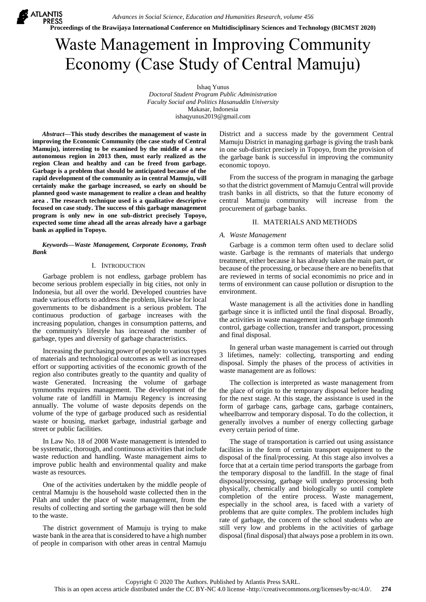**Proceedings of the Brawijaya International Conference on Multidisciplinary Sciences and Technology (BICMST 2020)**

# Waste Management in Improving Community Economy (Case Study of Central Mamuju)

Ishaq Yunus *Doctoral Student Program Public Administration Faculty Social and Politics Hasanuddin University* Makasar, Indonesia ishaqyunus2019@gmail.com

*Abstract***—This study describes the management of waste in improving the Economic Community (the case study of Central Mamuju), interesting to be examined by the middle of a new autonomous region in 2013 then, must early realized as the region Clean and healthy and can be freed from garbage. Garbage is a problem that should be anticipated because of the rapid development of the community as in central Mamuju, will certainly make the garbage increased, so early on should be planned good waste management to realize a clean and healthy area . The research technique used is a qualitative descriptive focused on case study. The success of this garbage management program is only new in one sub-district precisely Topoyo, expected some time ahead all the areas already have a garbage bank as applied in Topoyo.**

**X** ATLANTIS **PRESS** 

#### *Keywords—Waste Management, Corporate Economy, Trash Bank*

#### I. INTRODUCTION

Garbage problem is not endless, garbage problem has become serious problem especially in big cities, not only in Indonesia, but all over the world. Developed countries have made various efforts to address the problem, likewise for local governments to be disbandment is a serious problem. The continuous production of garbage increases with the increasing population, changes in consumption patterns, and the community's lifestyle has increased the number of garbage, types and diversity of garbage characteristics.

Increasing the purchasing power of people to various types of materials and technological outcomes as well as increased effort or supporting activities of the economic growth of the region also contributes greatly to the quantity and quality of waste Generated. Increasing the volume of garbage tymmonths requires management. The development of the volume rate of landfill in Mamuju Regency is increasing annually. The volume of waste deposits depends on the volume of the type of garbage produced such as residential waste or housing, market garbage, industrial garbage and street or public facilities.

In Law No. 18 of 2008 Waste management is intended to be systematic, thorough, and continuous activities that include waste reduction and handling. Waste management aims to improve public health and environmental quality and make waste as resources.

One of the activities undertaken by the middle people of central Mamuju is the household waste collected then in the Pilah and under the place of waste management, from the results of collecting and sorting the garbage will then be sold to the waste.

The district government of Mamuju is trying to make waste bank in the area that is considered to have a high number of people in comparison with other areas in central Mamuju

District and a success made by the government Central Mamuju District in managing garbage is giving the trash bank in one sub-district precisely in Topoyo, from the provision of the garbage bank is successful in improving the community economic topoyo.

From the success of the program in managing the garbage so that the district government of Mamuju Central will provide trash banks in all districts, so that the future economy of central Mamuju community will increase from the procurement of garbage banks.

### II. MATERIALS AND METHODS

#### *A. Waste Management*

Garbage is a common term often used to declare solid waste. Garbage is the remnants of materials that undergo treatment, either because it has already taken the main part, or because of the processing, or because there are no benefits that are reviewed in terms of social economimis no price and in terms of environment can cause pollution or disruption to the environment.

Waste management is all the activities done in handling garbage since it is inflicted until the final disposal. Broadly, the activities in waste management include garbage timmonth control, garbage collection, transfer and transport, processing and final disposal.

In general urban waste management is carried out through 3 lifetimes, namely: collecting, transporting and ending disposal. Simply the phases of the process of activities in waste management are as follows:

The collection is interpreted as waste management from the place of origin to the temporary disposal before heading for the next stage. At this stage, the assistance is used in the form of garbage cans, garbage cans, garbage containers, wheelbarrow and temporary disposal. To do the collection, it generally involves a number of energy collecting garbage every certain period of time.

The stage of transportation is carried out using assistance facilities in the form of certain transport equipment to the disposal of the final/processing. At this stage also involves a force that at a certain time period transports the garbage from the temporary disposal to the landfill. In the stage of final disposal/processing, garbage will undergo processing both physically, chemically and biologically so until complete completion of the entire process. Waste management, especially in the school area, is faced with a variety of problems that are quite complex. The problem includes high rate of garbage, the concern of the school students who are still very low and problems in the activities of garbage disposal (final disposal) that always pose a problem in its own.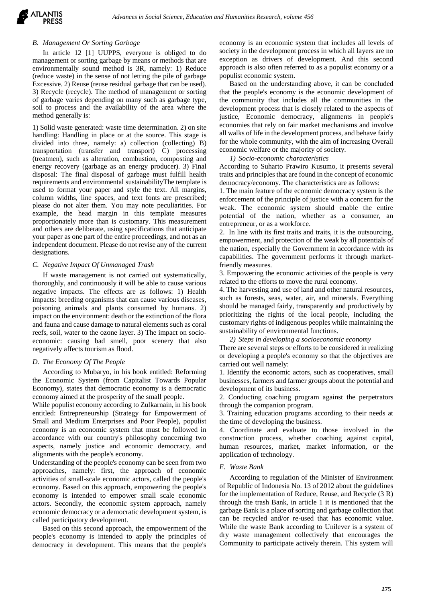## *B. Management Or Sorting Garbage*

In article 12 [1] UUPPS, everyone is obliged to do management or sorting garbage by means or methods that are environmentally sound method is 3R, namely: 1) Reduce (reduce waste) in the sense of not letting the pile of garbage Excessive. 2) Reuse (reuse residual garbage that can be used). 3) Recycle (recycle). The method of management or sorting of garbage varies depending on many such as garbage type, soil to process and the availability of the area where the method generally is:

1) Solid waste generated: waste time determination. 2) on site handling: Handling in place or at the source. This stage is divided into three, namely: a) collection (collecting) B) transportation (transfer and transport) C) processing (treatmen), such as alteration, combustion, composting and energy recovery (garbage as an energy producer). 3) Final disposal: The final disposal of garbage must fulfill health requirements and environmental sustainabilityThe template is used to format your paper and style the text. All margins, column widths, line spaces, and text fonts are prescribed; please do not alter them. You may note peculiarities. For example, the head margin in this template measures proportionately more than is customary. This measurement and others are deliberate, using specifications that anticipate your paper as one part of the entire proceedings, and not as an independent document. Please do not revise any of the current designations.

## *C. Negative Impact Of Unmanaged Trash*

If waste management is not carried out systematically, thoroughly, and continuously it will be able to cause various negative impacts. The effects are as follows: 1) Health impacts: breeding organisms that can cause various diseases, poisoning animals and plants consumed by humans. 2) impact on the environment: death or the extinction of the flora and fauna and cause damage to natural elements such as coral reefs, soil, water to the ozone layer. 3) The impact on socioeconomic: causing bad smell, poor scenery that also negatively affects tourism as flood.

## *D. The Economy Of The People*

According to Mubaryo, in his book entitled: Reforming the Economic System (from Capitalist Towards Popular Economy), states that democratic economy is a democratic economy aimed at the prosperity of the small people.

While populist economy according to Zulkarnain, in his book entitled: Entrepreneurship (Strategy for Empowerment of Small and Medium Enterprises and Poor People), populist economy is an economic system that must be followed in accordance with our country's philosophy concerning two aspects, namely justice and economic democracy, and alignments with the people's economy.

Understanding of the people's economy can be seen from two approaches, namely: first, the approach of economic activities of small-scale economic actors, called the people's economy. Based on this approach, empowering the people's economy is intended to empower small scale economic actors. Secondly, the economic system approach, namely economic democracy or a democratic development system, is called participatory development.

Based on this second approach, the empowerment of the people's economy is intended to apply the principles of democracy in development. This means that the people's economy is an economic system that includes all levels of society in the development process in which all layers are no exception as drivers of development. And this second approach is also often referred to as a populist economy or a populist economic system.

Based on the understanding above, it can be concluded that the people's economy is the economic development of the community that includes all the communities in the development process that is closely related to the aspects of justice, Economic democracy, alignments in people's economies that rely on fair market mechanisms and involve all walks of life in the development process, and behave fairly for the whole community, with the aim of increasing Overall economic welfare or the majority of society.

#### *1) Socio-economic characteristics*

According to Suharto Prawiro Kusumo, it presents several traits and principles that are found in the concept of economic democracy/economy. The characteristics are as follows:

1. The main feature of the economic democracy system is the enforcement of the principle of justice with a concern for the weak. The economic system should enable the entire potential of the nation, whether as a consumer, an entrepreneur, or as a workforce.

2. In line with its first traits and traits, it is the outsourcing, empowerment, and protection of the weak by all potentials of the nation, especially the Government in accordance with its capabilities. The government performs it through marketfriendly measures.

3. Empowering the economic activities of the people is very related to the efforts to move the rural economy.

4. The harvesting and use of land and other natural resources, such as forests, seas, water, air, and minerals. Everything should be managed fairly, transparently and productively by prioritizing the rights of the local people, including the customary rights of indigenous peoples while maintaining the sustainability of environmental functions.

*2) Steps in developing a socioeconomic economy*

There are several steps or efforts to be considered in realizing or developing a people's economy so that the objectives are carried out well namely:

1. Identify the economic actors, such as cooperatives, small businesses, farmers and farmer groups about the potential and development of its business.

2. Conducting coaching program against the perpetrators through the companion program.

3. Training education programs according to their needs at the time of developing the business.

4. Coordinate and evaluate to those involved in the construction process, whether coaching against capital, human resources, market, market information, or the application of technology.

#### *E. Waste Bank*

According to regulation of the Minister of Environment of Republic of Indonesia No. 13 of 2012 about the guidelines for the implementation of Reduce, Reuse, and Recycle (3 R) through the trash Bank, in article 1 it is mentioned that the garbage Bank is a place of sorting and garbage collection that can be recycled and/or re-used that has economic value. While the waste Bank according to Unilever is a system of dry waste management collectively that encourages the Community to participate actively therein. This system will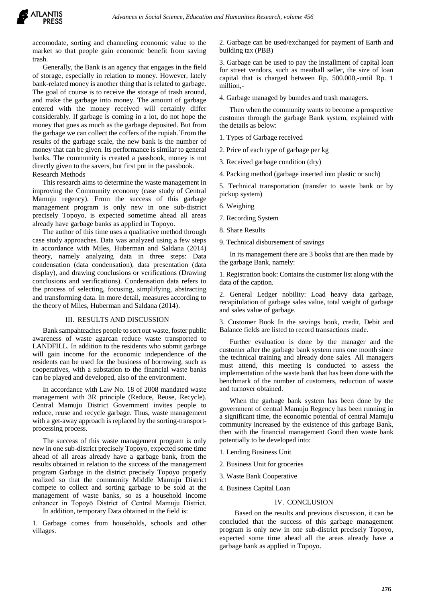

accomodate, sorting and channeling economic value to the market so that people gain economic benefit from saving trash.

Generally, the Bank is an agency that engages in the field of storage, especially in relation to money. However, lately bank-related money is another thing that is related to garbage. The goal of course is to receive the storage of trash around, and make the garbage into money. The amount of garbage entered with the money received will certainly differ considerably. If garbage is coming in a lot, do not hope the money that goes as much as the garbage deposited. But from the garbage we can collect the coffers of the rupiah.`From the results of the garbage scale, the new bank is the number of money that can be given. Its performance is similar to general banks. The community is created a passbook, money is not directly given to the savers, but first put in the passbook. Research Methods

This research aims to determine the waste management in improving the Community economy (case study of Central Mamuju regency). From the success of this garbage management program is only new in one sub-district precisely Topoyo, is expected sometime ahead all areas already have garbage banks as applied in Topoyo.

The author of this time uses a qualitative method through case study approaches. Data was analyzed using a few steps in accordance with Miles, Huberman and Saldana (2014) theory, namely analyzing data in three steps: Data condensation (data condensation), data presentation (data display), and drawing conclusions or verifications (Drawing conclusions and verifications). Condensation data refers to the process of selecting, focusing, simplifying, abstracting and transforming data. In more detail, measures according to the theory of Miles, Huberman and Saldana (2014).

#### III. RESULTS AND DISCUSSION

Bank sampahteaches people to sort out waste, foster public awareness of waste agarcan reduce waste transported to LANDFILL. In addition to the residents who submit garbage will gain income for the economic independence of the residents can be used for the business of borrowing, such as cooperatives, with a substation to the financial waste banks can be played and developed, also of the environment.

In accordance with Law No. 18 of 2008 mandated waste management with 3R principle (Reduce, Reuse, Recycle). Central Mamuju District Government invites people to reduce, reuse and recycle garbage. Thus, waste management with a get-away approach is replaced by the sorting-transportprocessing process.

The success of this waste management program is only new in one sub-district precisely Topoyo, expected some time ahead of all areas already have a garbage bank, from the results obtained in relation to the success of the management program Garbage in the district precisely Topoyo properly realized so that the community Middle Mamuju District compete to collect and sorting garbage to be sold at the management of waste banks, so as a household income enhancer in Topoyō District of Central Mamuju District.

In addition, temporary Data obtained in the field is:

1. Garbage comes from households, schools and other villages.

2. Garbage can be used/exchanged for payment of Earth and building tax (PBB)

3. Garbage can be used to pay the installment of capital loan for street vendors, such as meatball seller, the size of loan capital that is charged between Rp. 500.000,-until Rp. 1 million,-

4. Garbage managed by bumdes and trash managers.

Then when the community wants to become a prospective customer through the garbage Bank system, explained with the details as below:

1. Types of Garbage received

2. Price of each type of garbage per kg

3. Received garbage condition (dry)

4. Packing method (garbage inserted into plastic or such)

5. Technical transportation (transfer to waste bank or by pickup system)

6. Weighing

7. Recording System

8. Share Results

9. Technical disbursement of savings

In its management there are 3 books that are then made by the garbage Bank, namely:

1. Registration book: Contains the customer list along with the data of the caption.

2. General Ledger nobility: Load heavy data garbage, recapitulation of garbage sales value, total weight of garbage and sales value of garbage.

3. Customer Book In the savings book, credit, Debit and Balance fields are listed to record transactions made.

Further evaluation is done by the manager and the customer after the garbage bank system runs one month since the technical training and already done sales. All managers must attend, this meeting is conducted to assess the implementation of the waste bank that has been done with the benchmark of the number of customers, reduction of waste and turnover obtained.

When the garbage bank system has been done by the government of central Mamuju Regency has been running in a significant time, the economic potential of central Mamuju community increased by the existence of this garbage Bank, then with the financial management Good then waste bank potentially to be developed into:

1. Lending Business Unit

2. Business Unit for groceries

3. Waste Bank Cooperative

4. Business Capital Loan

## IV. CONCLUSION

Based on the results and previous discussion, it can be concluded that the success of this garbage management program is only new in one sub-district precisely Topoyo, expected some time ahead all the areas already have a garbage bank as applied in Topoyo.